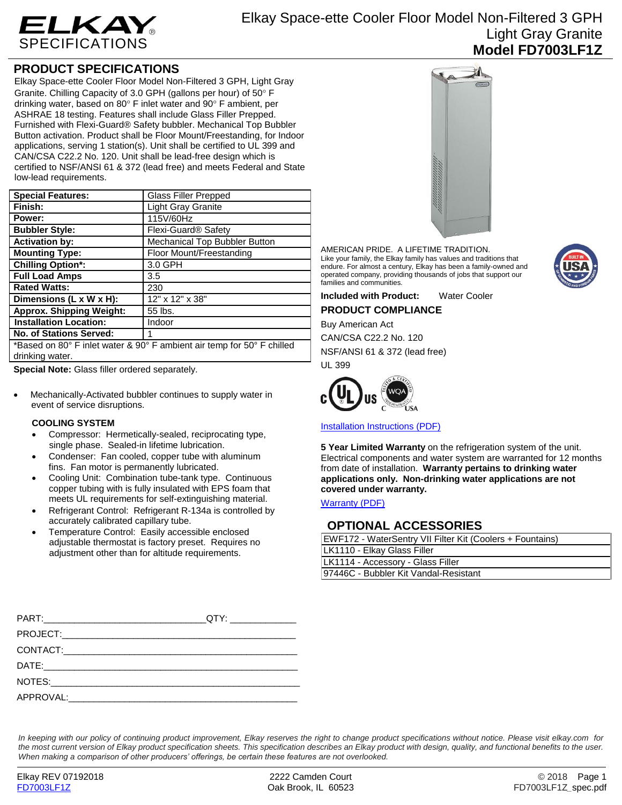

# **PRODUCT SPECIFICATIONS**

Elkay Space-ette Cooler Floor Model Non-Filtered 3 GPH, Light Gray Granite. Chilling Capacity of 3.0 GPH (gallons per hour) of 50° F drinking water, based on 80 $\degree$  F inlet water and 90 $\degree$  F ambient, per ASHRAE 18 testing. Features shall include Glass Filler Prepped. Furnished with Flexi-Guard® Safety bubbler. Mechanical Top Bubbler Button activation. Product shall be Floor Mount/Freestanding, for Indoor applications, serving 1 station(s). Unit shall be certified to UL 399 and CAN/CSA C22.2 No. 120. Unit shall be lead-free design which is certified to NSF/ANSI 61 & 372 (lead free) and meets Federal and State low-lead requirements.

| <b>Special Features:</b>                                                                  | <b>Glass Filler Prepped</b>     |
|-------------------------------------------------------------------------------------------|---------------------------------|
| Finish:                                                                                   | <b>Light Gray Granite</b>       |
| Power:                                                                                    | 115V/60Hz                       |
| <b>Bubbler Style:</b>                                                                     | Flexi-Guard <sup>®</sup> Safety |
| <b>Activation by:</b>                                                                     | Mechanical Top Bubbler Button   |
| <b>Mounting Type:</b>                                                                     | Floor Mount/Freestanding        |
| <b>Chilling Option*:</b>                                                                  | 3.0 GPH                         |
| <b>Full Load Amps</b>                                                                     | 3.5                             |
| <b>Rated Watts:</b>                                                                       | 230                             |
| Dimensions $(L \times W \times H)$ :                                                      | 12" x 12" x 38"                 |
| <b>Approx. Shipping Weight:</b>                                                           | 55 lbs.                         |
| <b>Installation Location:</b>                                                             | Indoor                          |
| <b>No. of Stations Served:</b>                                                            | 1                               |
| *Based on 80° F inlet water & 90° F ambient air temp for 50° F chilled<br>drinking water. |                                 |

**Special Note:** Glass filler ordered separately.

 Mechanically-Activated bubbler continues to supply water in event of service disruptions.

## **COOLING SYSTEM**

- Compressor: Hermetically-sealed, reciprocating type, single phase. Sealed-in lifetime lubrication.
- Condenser: Fan cooled, copper tube with aluminum fins. Fan motor is permanently lubricated.
- Cooling Unit: Combination tube-tank type. Continuous copper tubing with is fully insulated with EPS foam that meets UL requirements for self-extinguishing material.
- Refrigerant Control: Refrigerant R-134a is controlled by accurately calibrated capillary tube.
- Temperature Control: Easily accessible enclosed adjustable thermostat is factory preset. Requires no adjustment other than for altitude requirements.



AMERICAN PRIDE. A LIFETIME TRADITION. Like your family, the Elkay family has values and traditions that endure. For almost a century, Elkay has been a family-owned and operated company, providing thousands of jobs that support our families and communities.

**Included with Product:** Water Cooler **PRODUCT COMPLIANCE**

Buy American Act

CAN/CSA C22.2 No. 120

NSF/ANSI 61 & 372 (lead free) UL 399



[Installation Instructions \(PDF\)](http://www.elkay.com/wcsstore/lkdocs/care-cleaning-install-warranty-sheets/98634c.pdf)

**5 Year Limited Warranty** on the refrigeration system of the unit. Electrical components and water system are warranted for 12 months from date of installation. **Warranty pertains to drinking water applications only. Non-drinking water applications are not covered under warranty.**

[Warranty](http://www.elkay.com/wcsstore/lkdocs/care-cleaning-install-warranty-sheets/96993c.pdf) (PDF)

## **OPTIONAL ACCESSORIES**

| EWF172 - WaterSentry VII Filter Kit (Coolers + Fountains) |  |
|-----------------------------------------------------------|--|
| LK1110 - Elkay Glass Filler                               |  |
| LK1114 - Accessory - Glass Filler                         |  |
| 97446C - Bubbler Kit Vandal-Resistant                     |  |

*In keeping with our policy of continuing product improvement, Elkay reserves the right to change product specifications without notice. Please visit elkay.com for the most current version of Elkay product specification sheets. This specification describes an Elkay product with design, quality, and functional benefits to the user. When making a comparison of other producers' offerings, be certain these features are not overlooked.*